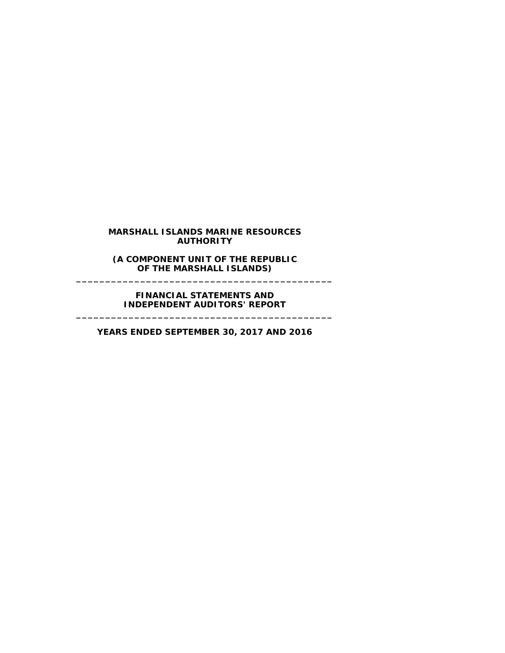**(A COMPONENT UNIT OF THE REPUBLIC OF THE MARSHALL ISLANDS) \_\_\_\_\_\_\_\_\_\_\_\_\_\_\_\_\_\_\_\_\_\_\_\_\_\_\_\_\_\_\_\_\_\_\_\_\_\_\_\_\_\_\_\_**

**FINANCIAL STATEMENTS AND INDEPENDENT AUDITORS' REPORT \_\_\_\_\_\_\_\_\_\_\_\_\_\_\_\_\_\_\_\_\_\_\_\_\_\_\_\_\_\_\_\_\_\_\_\_\_\_\_\_\_\_\_\_**

**YEARS ENDED SEPTEMBER 30, 2017 AND 2016**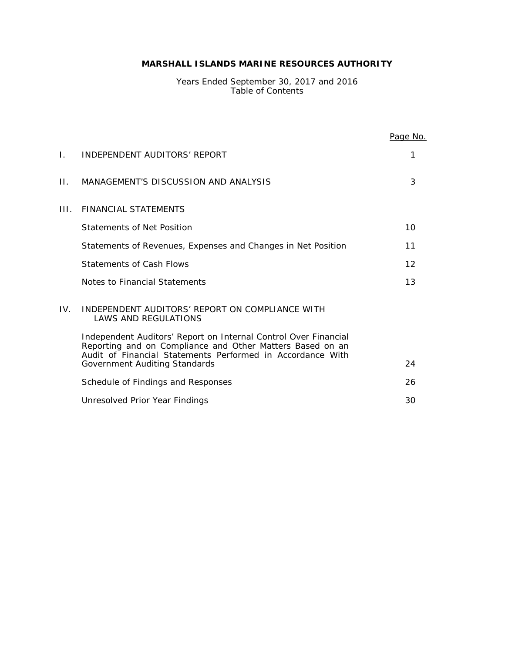Years Ended September 30, 2017 and 2016 Table of Contents

|          |                                                                                                                                                                                            | Page No. |
|----------|--------------------------------------------------------------------------------------------------------------------------------------------------------------------------------------------|----------|
| I.       | INDEPENDENT AUDITORS' REPORT                                                                                                                                                               | 1        |
| $\Pi$ .  | MANAGEMENT'S DISCUSSION AND ANALYSIS                                                                                                                                                       | 3        |
| III.     | <b>FINANCIAL STATEMENTS</b>                                                                                                                                                                |          |
|          | Statements of Net Position                                                                                                                                                                 | 10       |
|          | Statements of Revenues, Expenses and Changes in Net Position                                                                                                                               | 11       |
|          | Statements of Cash Flows                                                                                                                                                                   | 12       |
|          | Notes to Financial Statements                                                                                                                                                              | 13       |
| $IV_{-}$ | INDEPENDENT AUDITORS' REPORT ON COMPLIANCE WITH<br>LAWS AND REGULATIONS                                                                                                                    |          |
|          | Independent Auditors' Report on Internal Control Over Financial<br>Reporting and on Compliance and Other Matters Based on an<br>Audit of Financial Statements Performed in Accordance With |          |
|          | Government Auditing Standards                                                                                                                                                              | 24       |
|          | Schedule of Findings and Responses                                                                                                                                                         | 26       |
|          | Unresolved Prior Year Findings                                                                                                                                                             | 30       |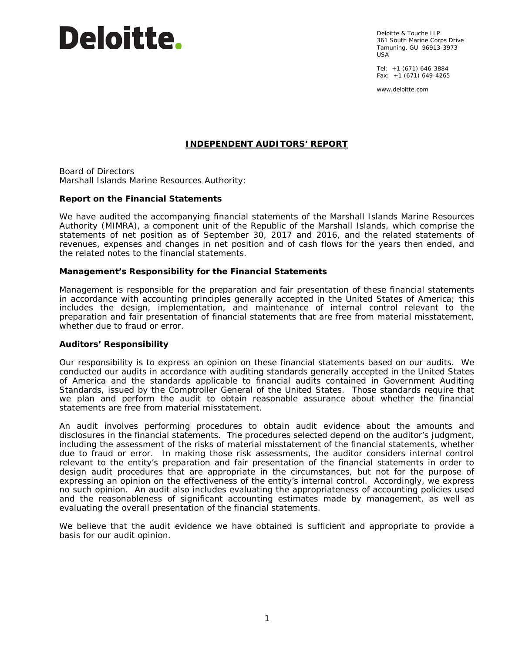# Deloitte.

Deloitte & Touche LLP 361 South Marine Corps Drive Tamuning, GU 96913-3973 USA

Tel: +1 (671) 646-3884 Fax: +1 (671) 649-4265

www.deloitte.com

# **INDEPENDENT AUDITORS' REPORT**

Board of Directors Marshall Islands Marine Resources Authority:

# **Report on the Financial Statements**

We have audited the accompanying financial statements of the Marshall Islands Marine Resources Authority (MIMRA), a component unit of the Republic of the Marshall Islands, which comprise the statements of net position as of September 30, 2017 and 2016, and the related statements of revenues, expenses and changes in net position and of cash flows for the years then ended, and the related notes to the financial statements.

# *Management's Responsibility for the Financial Statements*

Management is responsible for the preparation and fair presentation of these financial statements in accordance with accounting principles generally accepted in the United States of America; this includes the design, implementation, and maintenance of internal control relevant to the preparation and fair presentation of financial statements that are free from material misstatement, whether due to fraud or error.

## *Auditors' Responsibility*

Our responsibility is to express an opinion on these financial statements based on our audits. We conducted our audits in accordance with auditing standards generally accepted in the United States of America and the standards applicable to financial audits contained in *Government Auditing Standards*, issued by the Comptroller General of the United States. Those standards require that we plan and perform the audit to obtain reasonable assurance about whether the financial statements are free from material misstatement.

An audit involves performing procedures to obtain audit evidence about the amounts and disclosures in the financial statements. The procedures selected depend on the auditor's judgment, including the assessment of the risks of material misstatement of the financial statements, whether due to fraud or error. In making those risk assessments, the auditor considers internal control relevant to the entity's preparation and fair presentation of the financial statements in order to design audit procedures that are appropriate in the circumstances, but not for the purpose of expressing an opinion on the effectiveness of the entity's internal control. Accordingly, we express no such opinion. An audit also includes evaluating the appropriateness of accounting policies used and the reasonableness of significant accounting estimates made by management, as well as evaluating the overall presentation of the financial statements.

We believe that the audit evidence we have obtained is sufficient and appropriate to provide a basis for our audit opinion.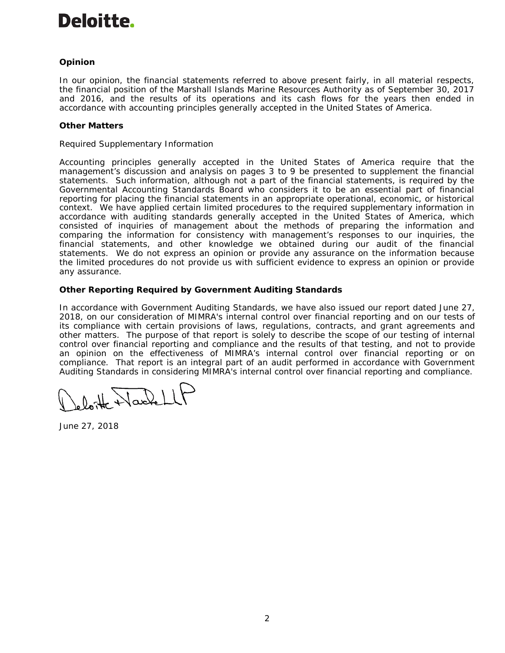# Deloitte.

# *Opinion*

In our opinion, the financial statements referred to above present fairly, in all material respects, the financial position of the Marshall Islands Marine Resources Authority as of September 30, 2017 and 2016, and the results of its operations and its cash flows for the years then ended in accordance with accounting principles generally accepted in the United States of America.

# *Other Matters*

# *Required Supplementary Information*

Accounting principles generally accepted in the United States of America require that the management's discussion and analysis on pages 3 to 9 be presented to supplement the financial statements. Such information, although not a part of the financial statements, is required by the Governmental Accounting Standards Board who considers it to be an essential part of financial reporting for placing the financial statements in an appropriate operational, economic, or historical context. We have applied certain limited procedures to the required supplementary information in accordance with auditing standards generally accepted in the United States of America, which consisted of inquiries of management about the methods of preparing the information and comparing the information for consistency with management's responses to our inquiries, the financial statements, and other knowledge we obtained during our audit of the financial statements. We do not express an opinion or provide any assurance on the information because the limited procedures do not provide us with sufficient evidence to express an opinion or provide any assurance.

# **Other Reporting Required by** *Government Auditing Standards*

In accordance with *Government Auditing Standards*, we have also issued our report dated June 27, 2018, on our consideration of MIMRA's internal control over financial reporting and on our tests of its compliance with certain provisions of laws, regulations, contracts, and grant agreements and other matters. The purpose of that report is solely to describe the scope of our testing of internal control over financial reporting and compliance and the results of that testing, and not to provide an opinion on the effectiveness of MIMRA's internal control over financial reporting or on compliance. That report is an integral part of an audit performed in accordance with *Government Auditing Standards* in considering MIMRA's internal control over financial reporting and compliance.

 $\bigcup_{\alpha\in\mathcal{C}}$ 

June 27, 2018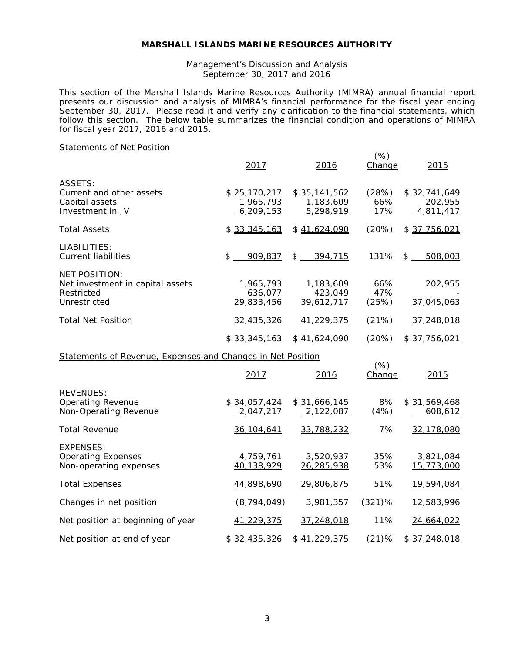Management's Discussion and Analysis September 30, 2017 and 2016

This section of the Marshall Islands Marine Resources Authority (MIMRA) annual financial report presents our discussion and analysis of MIMRA's financial performance for the fiscal year ending September 30, 2017. Please read it and verify any clarification to the financial statements, which follow this section. The below table summarizes the financial condition and operations of MIMRA for fiscal year 2017, 2016 and 2015.

(%)

#### Statements of Net Position

|                                                                                        | 2017                                   | 2016                                   | Change              | 2015                                 |
|----------------------------------------------------------------------------------------|----------------------------------------|----------------------------------------|---------------------|--------------------------------------|
| ASSETS:<br>Current and other assets<br>Capital assets<br>Investment in JV              | \$25,170,217<br>1,965,793<br>6,209,153 | \$35,141,562<br>1,183,609<br>5,298,919 | (28%)<br>66%<br>17% | \$32,741,649<br>202,955<br>4,811,417 |
| <b>Total Assets</b>                                                                    | \$33,345,163                           | \$41,624,090                           | (20%)               | \$37,756,021                         |
| LIABILITIES:<br>Current liabilities                                                    | $\mathfrak{L}$<br>909,837              | $\mathsf S$<br>394,715                 | 131%                | $\mathsf{S}$<br>508,003              |
| <b>NET POSITION:</b><br>Net investment in capital assets<br>Restricted<br>Unrestricted | 1,965,793<br>636,077<br>29,833,456     | 1,183,609<br>423,049<br>39,612,717     | 66%<br>47%<br>(25%) | 202,955<br>37,045,063                |
| <b>Total Net Position</b>                                                              | 32,435,326                             | 41,229,375                             | (21%)               | 37,248,018                           |
|                                                                                        | \$ 33,345,163                          | \$41,624,090                           | (20%)               | \$37,756,021                         |

Statements of Revenue, Expenses and Changes in Net Position

|                                   |               |              | (%)       |              |
|-----------------------------------|---------------|--------------|-----------|--------------|
|                                   | 2017          | 2016         | Change    | 2015         |
| <b>REVENUES:</b>                  |               |              |           |              |
| <b>Operating Revenue</b>          | \$34,057,424  | \$31,666,145 | 8%        | \$31,569,468 |
| Non-Operating Revenue             | 2,047,217     | 2,122,087    | (4%)      | 608,612      |
| <b>Total Revenue</b>              | 36,104,641    | 33,788,232   | 7%        | 32,178,080   |
| EXPENSES:                         |               |              |           |              |
| <b>Operating Expenses</b>         | 4,759,761     | 3,520,937    | 35%       | 3,821,084    |
| Non-operating expenses            | 40,138,929    | 26,285,938   | 53%       | 15,773,000   |
| <b>Total Expenses</b>             | 44,898,690    | 29,806,875   | 51%       | 19,594,084   |
| Changes in net position           | (8, 794, 049) | 3,981,357    | $(321)$ % | 12,583,996   |
| Net position at beginning of year | 41,229,375    | 37,248,018   | 11%       | 24,664,022   |
| Net position at end of year       | \$ 32,435,326 | \$41,229,375 | $(21)$ %  | \$37,248,018 |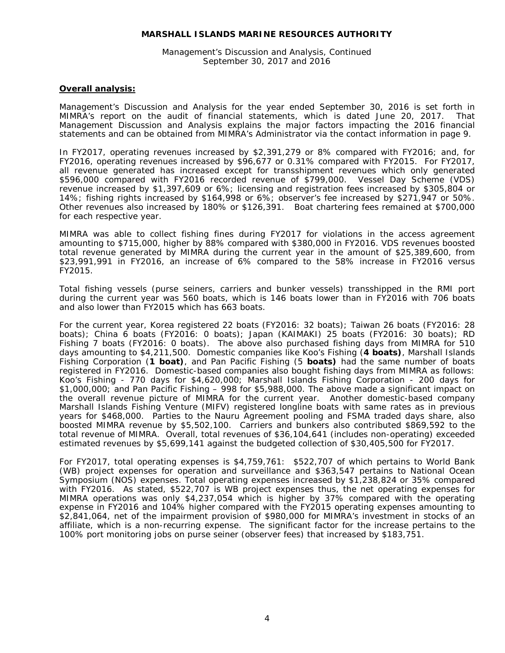Management's Discussion and Analysis, Continued September 30, 2017 and 2016

## **Overall analysis:**

Management's Discussion and Analysis for the year ended September 30, 2016 is set forth in MIMRA's report on the audit of financial statements, which is dated June 20, 2017. That Management Discussion and Analysis explains the major factors impacting the 2016 financial statements and can be obtained from MIMRA's Administrator via the contact information in page 9.

In FY2017, operating revenues increased by \$2,391,279 or 8% compared with FY2016; and, for FY2016, operating revenues increased by \$96,677 or 0.31% compared with FY2015. For FY2017, all revenue generated has increased except for transshipment revenues which only generated \$596,000 compared with FY2016 recorded revenue of \$799,000. Vessel Day Scheme (VDS)  $$596,000$  compared with FY2016 recorded revenue of  $$799,000$ . revenue increased by \$1,397,609 or 6%; licensing and registration fees increased by \$305,804 or 14%; fishing rights increased by \$164,998 or 6%; observer's fee increased by \$271,947 or 50%. Other revenues also increased by 180% or \$126,391. Boat chartering fees remained at \$700,000 for each respective year.

MIMRA was able to collect fishing fines during FY2017 for violations in the access agreement amounting to \$715,000, higher by 88% compared with \$380,000 in FY2016. VDS revenues boosted total revenue generated by MIMRA during the current year in the amount of \$25,389,600, from \$23,991,991 in FY2016, an increase of 6% compared to the 58% increase in FY2016 versus FY2015.

Total fishing vessels (purse seiners, carriers and bunker vessels) transshipped in the RMI port during the current year was 560 boats, which is 146 boats lower than in FY2016 with 706 boats and also lower than FY2015 which has 663 boats.

For the current year, Korea registered 22 boats (FY2016: 32 boats); Taiwan 26 boats (FY2016: 28 boats); China 6 boats (FY2016: 0 boats); Japan (KAIMAKI) 25 boats (FY2016: 30 boats); RD Fishing 7 boats (FY2016: 0 boats). The above also purchased fishing days from MIMRA for 510 days amounting to \$4,211,500. Domestic companies like Koo's Fishing (*4 boats)*, Marshall Islands Fishing Corporation (*1 boat)*, and Pan Pacific Fishing (5 *boats)* had the same number of boats registered in FY2016. Domestic-based companies also bought fishing days from MIMRA as follows: Koo's Fishing - 770 days for \$4,620,000; Marshall Islands Fishing Corporation - 200 days for \$1,000,000; and Pan Pacific Fishing – 998 for \$5,988,000. The above made a significant impact on the overall revenue picture of MIMRA for the current year. Another domestic-based company Marshall Islands Fishing Venture (MIFV) registered longline boats with same rates as in previous years for \$468,000. Parties to the Nauru Agreement pooling and FSMA traded days share, also boosted MIMRA revenue by \$5,502,100. Carriers and bunkers also contributed \$869,592 to the total revenue of MIMRA. Overall, total revenues of \$36,104,641 (includes non-operating) exceeded estimated revenues by \$5,699,141 against the budgeted collection of \$30,405,500 for FY2017.

For FY2017, total operating expenses is \$4,759,761: \$522,707 of which pertains to World Bank (WB) project expenses for operation and surveillance and \$363,547 pertains to National Ocean Symposium (NOS) expenses. Total operating expenses increased by \$1,238,824 or 35% compared with FY2016. As stated, \$522,707 is WB project expenses thus, the net operating expenses for MIMRA operations was only \$4,237,054 which is higher by 37% compared with the operating expense in FY2016 and 104% higher compared with the FY2015 operating expenses amounting to \$2,841,064, net of the impairment provision of \$980,000 for MIMRA's investment in stocks of an affiliate, which is a non-recurring expense. The significant factor for the increase pertains to the 100% port monitoring jobs on purse seiner (observer fees) that increased by \$183,751.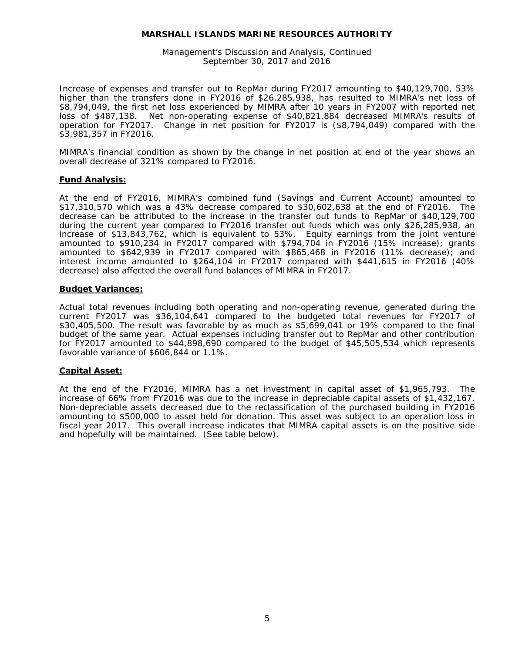Management's Discussion and Analysis, Continued September 30, 2017 and 2016

Increase of expenses and transfer out to RepMar during FY2017 amounting to \$40,129,700, 53% higher than the transfers done in FY2016 of \$26,285,938, has resulted to MIMRA's net loss of \$8,794,049, the first net loss experienced by MIMRA after 10 years in FY2007 with reported net loss of \$487,138. Net non-operating expense of \$40,821,884 decreased MIMRA's results of operation for FY2017. Change in net position for FY2017 is (\$8,794,049) compared with the \$3,981,357 in FY2016.

MIMRA's financial condition as shown by the change in net position at end of the year shows an overall decrease of 321% compared to FY2016.

## **Fund Analysis:**

At the end of FY2016, MIMRA's combined fund (Savings and Current Account) amounted to \$17,310,570 which was a 43% decrease compared to \$30,602,638 at the end of FY2016. The decrease can be attributed to the increase in the transfer out funds to RepMar of \$40,129,700 during the current year compared to FY2016 transfer out funds which was only \$26,285,938, an increase of \$13,843,762, which is equivalent to 53%. Equity earnings from the joint venture amounted to \$910,234 in FY2017 compared with \$794,704 in FY2016 (15% increase); grants amounted to \$642,939 in FY2017 compared with \$865,468 in FY2016 (11% decrease); and interest income amounted to \$264,104 in FY2017 compared with \$441,615 in FY2016 (40% decrease) also affected the overall fund balances of MIMRA in FY2017.

#### **Budget Variances:**

Actual total revenues including both operating and non-operating revenue, generated during the current FY2017 was \$36,104,641 compared to the budgeted total revenues for FY2017 of \$30,405,500. The result was favorable by as much as \$5,699,041 or 19% compared to the final budget of the same year. Actual expenses including transfer out to RepMar and other contribution for FY2017 amounted to \$44,898,690 compared to the budget of \$45,505,534 which represents favorable variance of \$606,844 or 1.1%.

## **Capital Asset:**

At the end of the FY2016, MIMRA has a net investment in capital asset of \$1,965,793. The increase of 66% from FY2016 was due to the increase in depreciable capital assets of \$1,432,167. Non-depreciable assets decreased due to the reclassification of the purchased building in FY2016 amounting to \$500,000 to asset held for donation. This asset was subject to an operation loss in fiscal year 2017. This overall increase indicates that MIMRA capital assets is on the positive side and hopefully will be maintained. (See table below).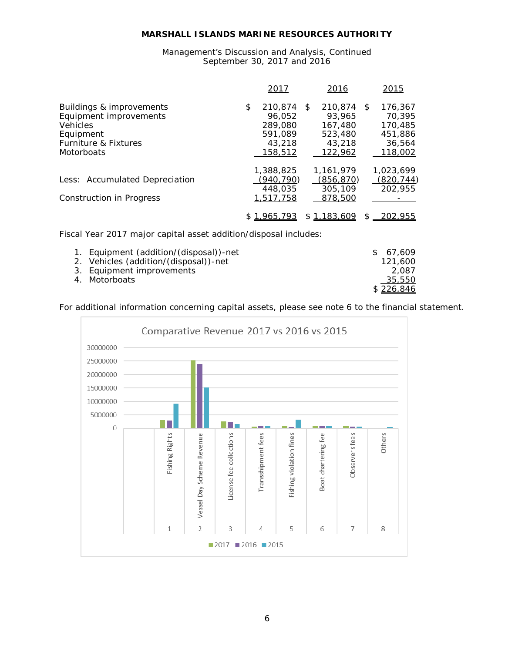Management's Discussion and Analysis, Continued September 30, 2017 and 2016

|                                 | 2017          | 2016          |    | 2015           |
|---------------------------------|---------------|---------------|----|----------------|
| Buildings & improvements        | \$<br>210,874 | \$<br>210,874 | -S | 176,367        |
| Equipment improvements          | 96.052        | 93,965        |    | 70,395         |
| <b>Vehicles</b>                 | 289,080       | 167.480       |    | 170,485        |
| Equipment                       | 591.089       | 523,480       |    | 451,886        |
| <b>Furniture &amp; Fixtures</b> | 43,218        | 43,218        |    | 36.564         |
| <b>Motorboats</b>               | 158,512       | 122,962       |    | 118,002        |
|                                 | 1,388,825     | 1.161.979     |    | 1.023.699      |
| Less: Accumulated Depreciation  | (940,790)     | (856, 870)    |    | (820, 744)     |
|                                 | 448,035       | 305,109       |    | 202,955        |
| Construction in Progress        | 1,517,758     | 878,500       |    |                |
|                                 | \$1,965,793   | \$1,183,609   | S  | <u>202,955</u> |

Fiscal Year 2017 major capital asset addition/disposal includes:

| 1. Equipment (addition/(disposal))-net | \$ 67.609 |
|----------------------------------------|-----------|
| 2. Vehicles (addition/(disposal))-net  | 121,600   |
| 3. Equipment improvements              | 2.087     |
| 4. Motorboats                          | - 35,550  |
|                                        | \$226,846 |

For additional information concerning capital assets, please see note 6 to the financial statement.

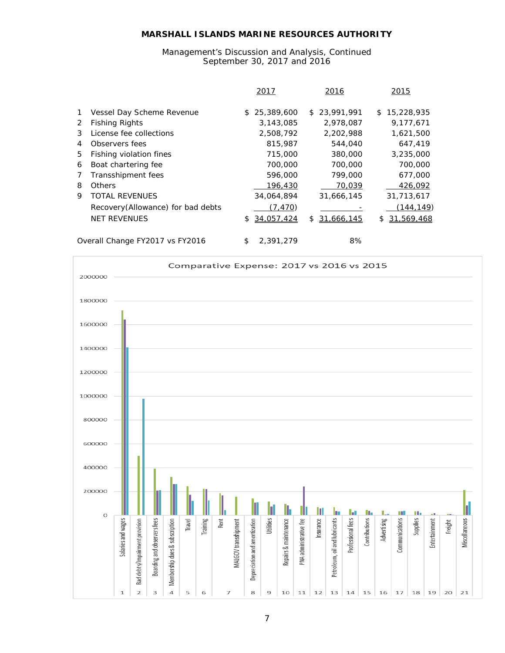#### Management's Discussion and Analysis, Continued September 30, 2017 and 2016

|              |                                    | 2017             |   | 2016         | 2015             |
|--------------|------------------------------------|------------------|---|--------------|------------------|
| $\mathbf{1}$ | Vessel Day Scheme Revenue          | \$<br>25,389,600 |   | \$23,991,991 | \$<br>15,228,935 |
| 2            | <b>Fishing Rights</b>              | 3,143,085        |   | 2,978,087    | 9,177,671        |
| 3            | License fee collections            | 2,508,792        |   | 2,202,988    | 1,621,500        |
| 4            | Observers fees                     | 815,987          |   | 544.040      | 647.419          |
| 5            | Fishing violation fines            | 715,000          |   | 380,000      | 3,235,000        |
| 6            | Boat chartering fee                | 700,000          |   | 700,000      | 700,000          |
| 7            | Transshipment fees                 | 596,000          |   | 799,000      | 677,000          |
| 8            | <b>Others</b>                      | 196,430          |   | 70,039       | 426,092          |
| 9            | <b>TOTAL REVENUES</b>              | 34,064,894       |   | 31,666,145   | 31,713,617       |
|              | Recovery (Allowance) for bad debts | (7, 470)         |   |              | (144, 149)       |
|              | <b>NET REVENUES</b>                | \$<br>34.057.424 | S | 31.666.145   | \$<br>31,569,468 |
|              | Overall Change FY2017 vs FY2016    | \$<br>2,391,279  |   | 8%           |                  |

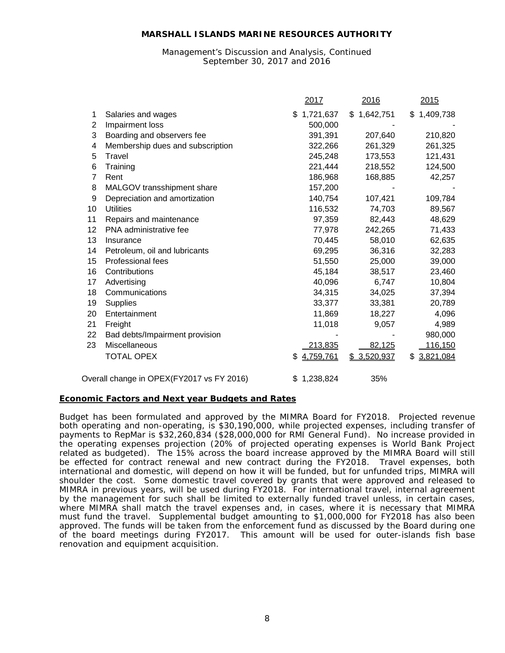#### Management's Discussion and Analysis, Continued September 30, 2017 and 2016

|                |                                           | 2017             | 2016            | 2015            |
|----------------|-------------------------------------------|------------------|-----------------|-----------------|
| 1              | Salaries and wages                        | 1,721,637        | 1,642,751<br>\$ | 1,409,738<br>S  |
| 2              | Impairment loss                           | 500,000          |                 |                 |
| 3              | Boarding and observers fee                | 391,391          | 207,640         | 210,820         |
| 4              | Membership dues and subscription          | 322,266          | 261,329         | 261,325         |
| 5              | Travel                                    | 245,248          | 173,553         | 121,431         |
| 6              | Training                                  | 221,444          | 218,552         | 124,500         |
| $\overline{7}$ | Rent                                      | 186,968          | 168,885         | 42,257          |
| 8              | MALGOV transshipment share                | 157,200          |                 |                 |
| 9              | Depreciation and amortization             | 140,754          | 107,421         | 109,784         |
| 10             | Utilities                                 | 116,532          | 74,703          | 89,567          |
| 11             | Repairs and maintenance                   | 97,359           | 82,443          | 48,629          |
| 12             | PNA administrative fee                    | 77,978           | 242,265         | 71,433          |
| 13             | Insurance                                 | 70,445           | 58,010          | 62,635          |
| 14             | Petroleum, oil and lubricants             | 69,295           | 36,316          | 32,283          |
| 15             | Professional fees                         | 51,550           | 25,000          | 39,000          |
| 16             | Contributions                             | 45,184           | 38,517          | 23,460          |
| 17             | Advertising                               | 40,096           | 6,747           | 10,804          |
| 18             | Communications                            | 34,315           | 34,025          | 37,394          |
| 19             | <b>Supplies</b>                           | 33,377           | 33,381          | 20,789          |
| 20             | Entertainment                             | 11,869           | 18,227          | 4,096           |
| 21             | Freight                                   | 11,018           | 9,057           | 4,989           |
| 22             | Bad debts/Impairment provision            |                  |                 | 980,000         |
| 23             | Miscellaneous                             | 213,835          | 82,125          | 116,150         |
|                | <b>TOTAL OPEX</b>                         | 4,759,761<br>\$. | \$3,520,937     | 3,821,084<br>\$ |
|                | Overall change in OPEX(FY2017 vs FY 2016) | 1,238,824<br>\$  | 35%             |                 |

#### **Economic Factors and Next year Budgets and Rates**

Budget has been formulated and approved by the MIMRA Board for FY2018. Projected revenue both operating and non-operating, is \$30,190,000, while projected expenses, including transfer of payments to RepMar is \$32,260,834 (\$28,000,000 for RMI General Fund). No increase provided in the operating expenses projection (20% of projected operating expenses is World Bank Project related as budgeted). The 15% across the board increase approved by the MIMRA Board will still be effected for contract renewal and new contract during the FY2018. Travel expenses, both international and domestic, will depend on how it will be funded, but for unfunded trips, MIMRA will shoulder the cost. Some domestic travel covered by grants that were approved and released to MIMRA in previous years, will be used during FY2018. For international travel, internal agreement by the management for such shall be limited to externally funded travel unless, in certain cases, where MIMRA shall match the travel expenses and, in cases, where it is necessary that MIMRA must fund the travel. Supplemental budget amounting to \$1,000,000 for FY2018 has also been approved. The funds will be taken from the enforcement fund as discussed by the Board during one of the board meetings during FY2017. This amount will be used for outer-islands fish base renovation and equipment acquisition.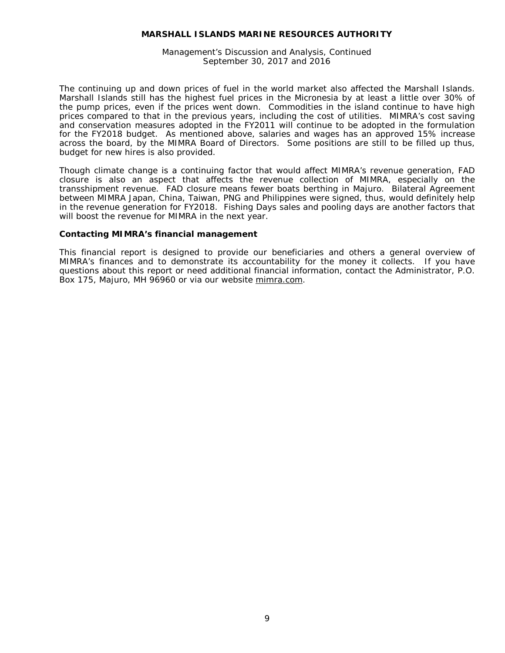#### Management's Discussion and Analysis, Continued September 30, 2017 and 2016

The continuing up and down prices of fuel in the world market also affected the Marshall Islands. Marshall Islands still has the highest fuel prices in the Micronesia by at least a little over 30% of the pump prices, even if the prices went down. Commodities in the island continue to have high prices compared to that in the previous years, including the cost of utilities. MIMRA's cost saving and conservation measures adopted in the FY2011 will continue to be adopted in the formulation for the FY2018 budget. As mentioned above, salaries and wages has an approved 15% increase across the board, by the MIMRA Board of Directors. Some positions are still to be filled up thus, budget for new hires is also provided.

Though climate change is a continuing factor that would affect MIMRA's revenue generation, FAD closure is also an aspect that affects the revenue collection of MIMRA, especially on the transshipment revenue. FAD closure means fewer boats berthing in Majuro. Bilateral Agreement between MIMRA Japan, China, Taiwan, PNG and Philippines were signed, thus, would definitely help in the revenue generation for FY2018. Fishing Days sales and pooling days are another factors that will boost the revenue for MIMRA in the next year.

#### **Contacting MIMRA's financial management**

This financial report is designed to provide our beneficiaries and others a general overview of MIMRA's finances and to demonstrate its accountability for the money it collects. If you have questions about this report or need additional financial information, contact the Administrator, P.O. Box 175, Majuro, MH 96960 or via our website [mimra.com.](mailto:mimra.@ntamar.net)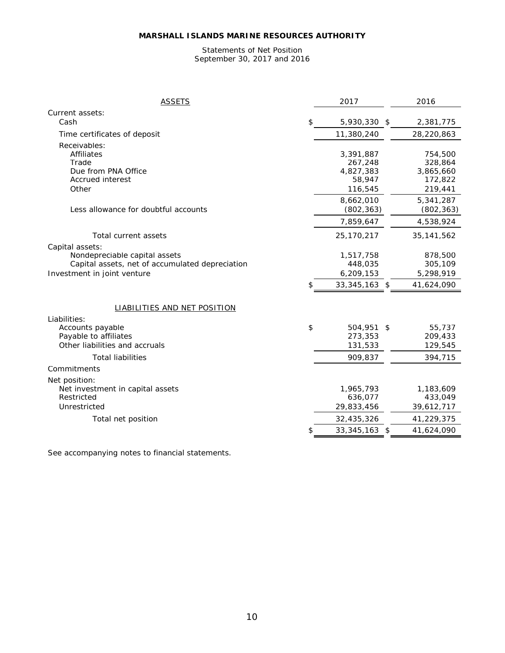#### Statements of Net Position September 30, 2017 and 2016

| <b>ASSETS</b>                                   | 2017               | 2016         |
|-------------------------------------------------|--------------------|--------------|
| Current assets:                                 |                    |              |
| Cash                                            | \$<br>5,930,330 \$ | 2,381,775    |
| Time certificates of deposit                    | 11,380,240         | 28,220,863   |
| Receivables:                                    |                    |              |
| Affiliates                                      | 3,391,887          | 754,500      |
| Trade                                           | 267,248            | 328,864      |
| Due from PNA Office                             | 4,827,383          | 3,865,660    |
| <b>Accrued interest</b>                         | 58,947             | 172,822      |
| Other                                           | 116,545            | 219,441      |
|                                                 | 8,662,010          | 5,341,287    |
| Less allowance for doubtful accounts            | (802, 363)         | (802, 363)   |
|                                                 | 7,859,647          | 4,538,924    |
| Total current assets                            | 25,170,217         | 35, 141, 562 |
| Capital assets:                                 |                    |              |
| Nondepreciable capital assets                   | 1,517,758          | 878,500      |
| Capital assets, net of accumulated depreciation | 448,035            | 305,109      |
| Investment in joint venture                     | 6,209,153          | 5,298,919    |
|                                                 | 33,345,163 \$      | 41,624,090   |
| <b>LIABILITIES AND NET POSITION</b>             |                    |              |
| Liabilities:                                    |                    |              |
| Accounts payable                                | \$<br>504,951 \$   | 55,737       |
| Payable to affiliates                           | 273,353            | 209,433      |
| Other liabilities and accruals                  | 131,533            | 129,545      |
| <b>Total liabilities</b>                        | 909,837            | 394,715      |
| Commitments                                     |                    |              |
| Net position:                                   |                    |              |
| Net investment in capital assets                | 1,965,793          | 1,183,609    |
| Restricted                                      | 636,077            | 433,049      |
| Unrestricted                                    | 29,833,456         | 39,612,717   |
| Total net position                              | 32,435,326         | 41,229,375   |
|                                                 | 33,345,163 \$      | 41,624,090   |

See accompanying notes to financial statements.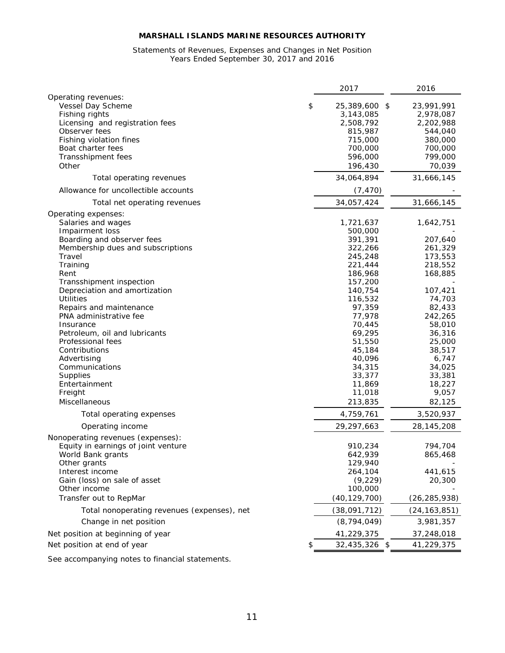#### Statements of Revenues, Expenses and Changes in Net Position Years Ended September 30, 2017 and 2016

|                                                                                               |    | 2017                                    | 2016                                 |
|-----------------------------------------------------------------------------------------------|----|-----------------------------------------|--------------------------------------|
| Operating revenues:<br>Vessel Day Scheme<br>Fishing rights<br>Licensing and registration fees | \$ | 25,389,600 \$<br>3,143,085<br>2,508,792 | 23,991,991<br>2,978,087<br>2,202,988 |
| Observer fees                                                                                 |    | 815,987                                 | 544,040                              |
| Fishing violation fines                                                                       |    | 715,000                                 | 380,000                              |
| Boat charter fees                                                                             |    | 700,000                                 | 700,000                              |
| Transshipment fees                                                                            |    | 596,000                                 | 799,000                              |
| Other                                                                                         |    | 196,430                                 | 70,039                               |
| Total operating revenues                                                                      |    | 34,064,894                              | 31,666,145                           |
| Allowance for uncollectible accounts                                                          |    | (7, 470)                                |                                      |
| Total net operating revenues                                                                  |    | 34,057,424                              | 31,666,145                           |
| Operating expenses:                                                                           |    |                                         |                                      |
| Salaries and wages                                                                            |    | 1,721,637                               | 1,642,751                            |
| Impairment loss                                                                               |    | 500,000                                 |                                      |
| Boarding and observer fees                                                                    |    | 391,391                                 | 207,640                              |
| Membership dues and subscriptions<br>Travel                                                   |    | 322,266<br>245,248                      | 261,329<br>173,553                   |
| Training                                                                                      |    | 221,444                                 | 218,552                              |
| Rent                                                                                          |    | 186,968                                 | 168,885                              |
| Transshipment inspection                                                                      |    | 157,200                                 |                                      |
| Depreciation and amortization                                                                 |    | 140,754                                 | 107,421                              |
| <b>Utilities</b>                                                                              |    | 116,532                                 | 74,703                               |
| Repairs and maintenance                                                                       |    | 97,359                                  | 82,433                               |
| PNA administrative fee                                                                        |    | 77,978                                  | 242,265                              |
| Insurance                                                                                     |    | 70,445                                  | 58,010                               |
| Petroleum, oil and lubricants                                                                 |    | 69,295                                  | 36,316                               |
| Professional fees                                                                             |    | 51,550                                  | 25,000                               |
| Contributions                                                                                 |    | 45,184<br>40,096                        | 38,517                               |
| Advertising<br>Communications                                                                 |    | 34,315                                  | 6,747<br>34,025                      |
| Supplies                                                                                      |    | 33,377                                  | 33,381                               |
| Entertainment                                                                                 |    | 11,869                                  | 18,227                               |
| Freight                                                                                       |    | 11,018                                  | 9,057                                |
| Miscellaneous                                                                                 |    | 213,835                                 | 82,125                               |
| Total operating expenses                                                                      |    | 4,759,761                               | 3,520,937                            |
| Operating income                                                                              |    | 29,297,663                              | 28, 145, 208                         |
| Nonoperating revenues (expenses):                                                             |    |                                         |                                      |
| Equity in earnings of joint venture                                                           |    | 910,234                                 | 794,704                              |
| World Bank grants                                                                             |    | 642,939                                 | 865,468                              |
| Other grants                                                                                  |    | 129,940                                 |                                      |
| Interest income                                                                               |    | 264,104                                 | 441,615                              |
| Gain (loss) on sale of asset                                                                  |    | (9, 229)                                | 20,300                               |
| Other income                                                                                  |    | 100,000                                 |                                      |
| Transfer out to RepMar                                                                        |    | (40, 129, 700)                          | (26, 285, 938)                       |
| Total nonoperating revenues (expenses), net                                                   |    | (38,091,712)                            | (24, 163, 851)                       |
| Change in net position                                                                        |    | (8, 794, 049)                           | 3,981,357                            |
| Net position at beginning of year                                                             |    | 41,229,375                              | 37,248,018                           |
| Net position at end of year                                                                   | S  | 32,435,326 \$                           | 41,229,375                           |

See accompanying notes to financial statements.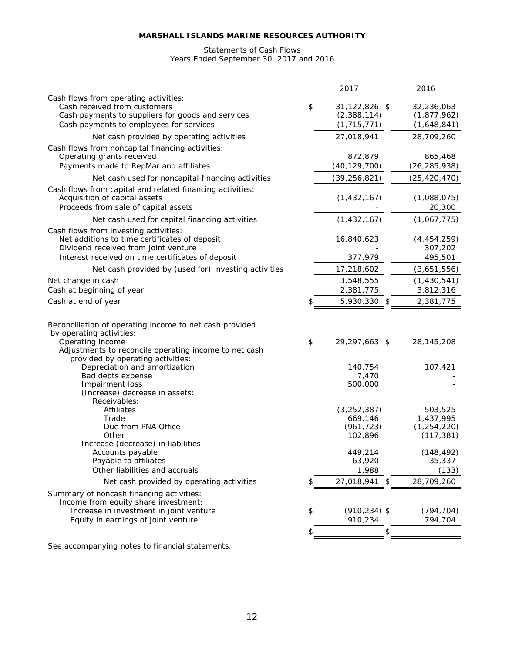#### Statements of Cash Flows Years Ended September 30, 2017 and 2016

|                                                                                                                                                                                                                       |          | 2017                                                                             | 2016                                                           |
|-----------------------------------------------------------------------------------------------------------------------------------------------------------------------------------------------------------------------|----------|----------------------------------------------------------------------------------|----------------------------------------------------------------|
| Cash flows from operating activities:<br>Cash received from customers<br>Cash payments to suppliers for goods and services<br>Cash payments to employees for services                                                 | \$       | 31,122,826 \$<br>(2,388,114)<br>(1, 715, 771)                                    | 32,236,063<br>(1, 877, 962)<br>(1,648,841)                     |
| Net cash provided by operating activities                                                                                                                                                                             |          | 27,018,941                                                                       | 28,709,260                                                     |
| Cash flows from noncapital financing activities:<br>Operating grants received<br>Payments made to RepMar and affiliates                                                                                               |          | 872,879<br>(40, 129, 700)                                                        | 865,468<br>(26, 285, 938)                                      |
| Net cash used for noncapital financing activities                                                                                                                                                                     |          | (39, 256, 821)                                                                   | (25, 420, 470)                                                 |
| Cash flows from capital and related financing activities:<br>Acquisition of capital assets<br>Proceeds from sale of capital assets                                                                                    |          | (1, 432, 167)                                                                    | (1,088,075)<br>20,300                                          |
| Net cash used for capital financing activities                                                                                                                                                                        |          | (1, 432, 167)                                                                    | (1,067,775)                                                    |
| Cash flows from investing activities:<br>Net additions to time certificates of deposit<br>Dividend received from joint venture<br>Interest received on time certificates of deposit                                   |          | 16,840,623<br>377,979                                                            | (4, 454, 259)<br>307,202<br>495,501                            |
| Net cash provided by (used for) investing activities                                                                                                                                                                  |          | 17,218,602                                                                       | (3,651,556)                                                    |
| Net change in cash<br>Cash at beginning of year                                                                                                                                                                       |          | 3,548,555<br>2,381,775                                                           | (1, 430, 541)<br>3,812,316                                     |
| Cash at end of year                                                                                                                                                                                                   |          | 5,930,330 \$                                                                     | 2,381,775                                                      |
| Reconciliation of operating income to net cash provided<br>by operating activities:<br>Operating income<br>Adjustments to reconcile operating income to net cash<br>provided by operating activities:                 | \$       | 29,297,663 \$                                                                    | 28, 145, 208                                                   |
| Depreciation and amortization<br>Bad debts expense<br>Impairment loss<br>(Increase) decrease in assets:<br>Receivables:<br>Affiliates<br>Trade<br>Due from PNA Office<br>Other<br>Increase (decrease) in liabilities: |          | 140,754<br>7,470<br>500,000<br>(3, 252, 387)<br>669,146<br>(961, 723)<br>102,896 | 107,421<br>503,525<br>1,437,995<br>(1, 254, 220)<br>(117, 381) |
| Accounts payable<br>Payable to affiliates<br>Other liabilities and accruals                                                                                                                                           |          | 449,214<br>63,920<br>1,988                                                       | (148, 492)<br>35,337<br>(133)                                  |
| Net cash provided by operating activities                                                                                                                                                                             |          | 27,018,941<br>\$                                                                 | 28,709,260                                                     |
| Summary of noncash financing activities:<br>Income from equity share investment:<br>Increase in investment in joint venture<br>Equity in earnings of joint venture                                                    | \$<br>\$ | $(910, 234)$ \$<br>910,234<br>\$<br>$\sim$                                       | (794, 704)<br>794,704                                          |

See accompanying notes to financial statements.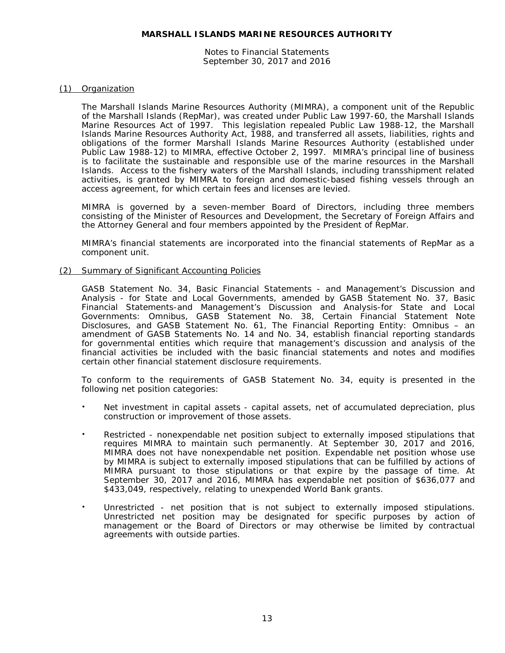Notes to Financial Statements September 30, 2017 and 2016

## (1) Organization

The Marshall Islands Marine Resources Authority (MIMRA), a component unit of the Republic of the Marshall Islands (RepMar), was created under Public Law 1997-60, the Marshall Islands Marine Resources Act of 1997. This legislation repealed Public Law 1988-12, the Marshall Islands Marine Resources Authority Act, 1988, and transferred all assets, liabilities, rights and obligations of the former Marshall Islands Marine Resources Authority (established under Public Law 1988-12) to MIMRA, effective October 2, 1997. MIMRA's principal line of business is to facilitate the sustainable and responsible use of the marine resources in the Marshall Islands. Access to the fishery waters of the Marshall Islands, including transshipment related activities, is granted by MIMRA to foreign and domestic-based fishing vessels through an access agreement, for which certain fees and licenses are levied.

MIMRA is governed by a seven-member Board of Directors, including three members consisting of the Minister of Resources and Development, the Secretary of Foreign Affairs and the Attorney General and four members appointed by the President of RepMar.

MIMRA's financial statements are incorporated into the financial statements of RepMar as a component unit.

#### (2) Summary of Significant Accounting Policies

GASB Statement No. 34, *Basic Financial Statements - and Management's Discussion and Analysis - for State and Local Governments*, amended by GASB Statement No. 37, *Basic Financial Statements-and Management's Discussion and Analysis-for State and Local Governments: Omnibus*, GASB Statement No. 38, *Certain Financial Statement Note Disclosures*, and GASB Statement No. 61, *The Financial Reporting Entity: Omnibus – an amendment of GASB Statements No. 14 and No. 34*, establish financial reporting standards for governmental entities which require that management's discussion and analysis of the financial activities be included with the basic financial statements and notes and modifies certain other financial statement disclosure requirements.

To conform to the requirements of GASB Statement No. 34, equity is presented in the following net position categories:

- Net investment in capital assets capital assets, net of accumulated depreciation, plus construction or improvement of those assets.
- Restricted nonexpendable net position subject to externally imposed stipulations that requires MIMRA to maintain such permanently. At September 30, 2017 and 2016, MIMRA does not have nonexpendable net position. Expendable net position whose use by MIMRA is subject to externally imposed stipulations that can be fulfilled by actions of MIMRA pursuant to those stipulations or that expire by the passage of time. At September 30, 2017 and 2016, MIMRA has expendable net position of \$636,077 and \$433,049, respectively, relating to unexpended World Bank grants.
- Unrestricted net position that is not subject to externally imposed stipulations. Unrestricted net position may be designated for specific purposes by action of management or the Board of Directors or may otherwise be limited by contractual agreements with outside parties.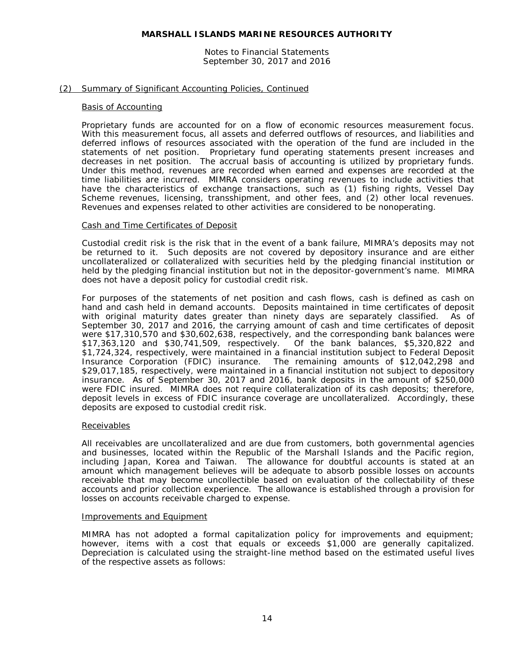Notes to Financial Statements September 30, 2017 and 2016

## (2) Summary of Significant Accounting Policies, Continued

#### Basis of Accounting

Proprietary funds are accounted for on a flow of economic resources measurement focus. With this measurement focus, all assets and deferred outflows of resources, and liabilities and deferred inflows of resources associated with the operation of the fund are included in the statements of net position. Proprietary fund operating statements present increases and decreases in net position. The accrual basis of accounting is utilized by proprietary funds. Under this method, revenues are recorded when earned and expenses are recorded at the time liabilities are incurred. MIMRA considers operating revenues to include activities that have the characteristics of exchange transactions, such as (1) fishing rights, Vessel Day Scheme revenues, licensing, transshipment, and other fees, and (2) other local revenues. Revenues and expenses related to other activities are considered to be nonoperating.

#### Cash and Time Certificates of Deposit

Custodial credit risk is the risk that in the event of a bank failure, MIMRA's deposits may not be returned to it. Such deposits are not covered by depository insurance and are either uncollateralized or collateralized with securities held by the pledging financial institution or held by the pledging financial institution but not in the depositor-government's name. MIMRA does not have a deposit policy for custodial credit risk.

For purposes of the statements of net position and cash flows, cash is defined as cash on hand and cash held in demand accounts. Deposits maintained in time certificates of deposit with original maturity dates greater than ninety days are separately classified. As of September 30, 2017 and 2016, the carrying amount of cash and time certificates of deposit were \$17,310,570 and \$30,602,638, respectively, and the corresponding bank balances were \$17,363,120 and \$30,741,509, respectively. Of the bank balances, \$5,320,822 and \$17,363,120 and \$30,741,509, respectively. \$1,724,324, respectively, were maintained in a financial institution subject to Federal Deposit Insurance Corporation (FDIC) insurance. The remaining amounts of \$12,042,298 and \$29,017,185, respectively, were maintained in a financial institution not subject to depository insurance. As of September 30, 2017 and 2016, bank deposits in the amount of \$250,000 were FDIC insured. MIMRA does not require collateralization of its cash deposits; therefore, deposit levels in excess of FDIC insurance coverage are uncollateralized. Accordingly, these deposits are exposed to custodial credit risk.

## Receivables

All receivables are uncollateralized and are due from customers, both governmental agencies and businesses, located within the Republic of the Marshall Islands and the Pacific region, including Japan, Korea and Taiwan. The allowance for doubtful accounts is stated at an amount which management believes will be adequate to absorb possible losses on accounts receivable that may become uncollectible based on evaluation of the collectability of these accounts and prior collection experience. The allowance is established through a provision for losses on accounts receivable charged to expense.

#### Improvements and Equipment

MIMRA has not adopted a formal capitalization policy for improvements and equipment; however, items with a cost that equals or exceeds \$1,000 are generally capitalized. Depreciation is calculated using the straight-line method based on the estimated useful lives of the respective assets as follows: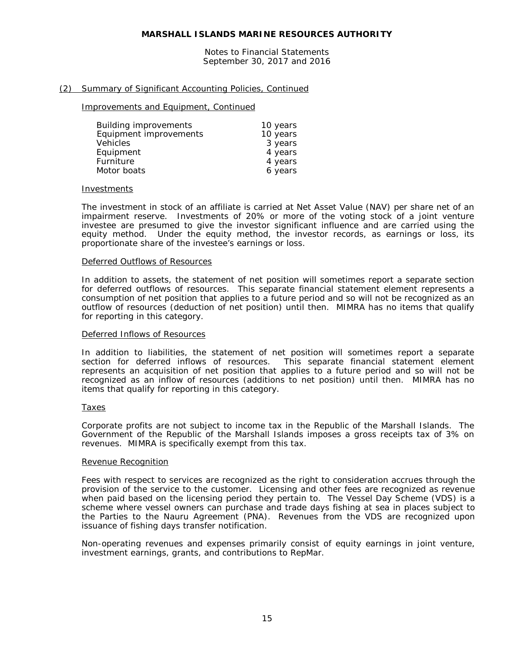Notes to Financial Statements September 30, 2017 and 2016

#### (2) Summary of Significant Accounting Policies, Continued

Improvements and Equipment, Continued

| <b>Building improvements</b> | 10 years |
|------------------------------|----------|
| Equipment improvements       | 10 years |
| <b>Vehicles</b>              | 3 years  |
| Equipment                    | 4 years  |
| Furniture                    | 4 years  |
| Motor boats                  | 6 years  |

#### Investments

The investment in stock of an affiliate is carried at Net Asset Value (NAV) per share net of an impairment reserve. Investments of 20% or more of the voting stock of a joint venture investee are presumed to give the investor significant influence and are carried using the equity method. Under the equity method, the investor records, as earnings or loss, its proportionate share of the investee's earnings or loss.

#### Deferred Outflows of Resources

In addition to assets, the statement of net position will sometimes report a separate section for deferred outflows of resources. This separate financial statement element represents a consumption of net position that applies to a future period and so will not be recognized as an outflow of resources (deduction of net position) until then. MIMRA has no items that qualify for reporting in this category.

#### Deferred Inflows of Resources

In addition to liabilities, the statement of net position will sometimes report a separate section for deferred inflows of resources. This separate financial statement element represents an acquisition of net position that applies to a future period and so will not be recognized as an inflow of resources (additions to net position) until then. MIMRA has no items that qualify for reporting in this category.

#### Taxes

Corporate profits are not subject to income tax in the Republic of the Marshall Islands. The Government of the Republic of the Marshall Islands imposes a gross receipts tax of 3% on revenues. MIMRA is specifically exempt from this tax.

#### Revenue Recognition

Fees with respect to services are recognized as the right to consideration accrues through the provision of the service to the customer. Licensing and other fees are recognized as revenue when paid based on the licensing period they pertain to. The Vessel Day Scheme (VDS) is a scheme where vessel owners can purchase and trade days fishing at sea in places subject to the Parties to the Nauru Agreement (PNA). Revenues from the VDS are recognized upon issuance of fishing days transfer notification.

Non-operating revenues and expenses primarily consist of equity earnings in joint venture, investment earnings, grants, and contributions to RepMar.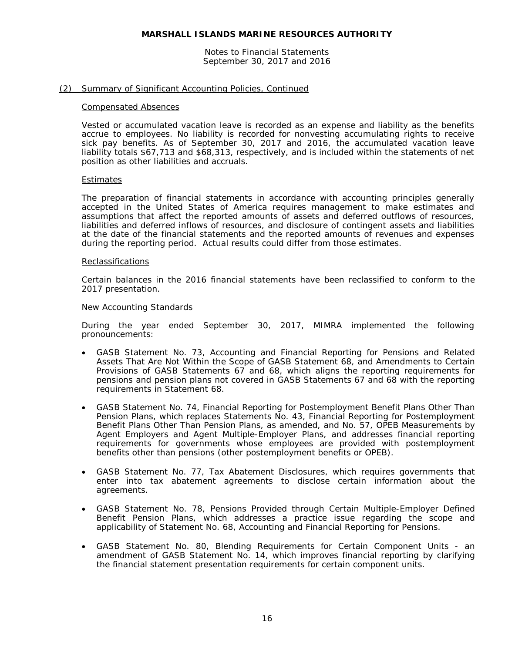Notes to Financial Statements September 30, 2017 and 2016

#### (2) Summary of Significant Accounting Policies, Continued

#### Compensated Absences

Vested or accumulated vacation leave is recorded as an expense and liability as the benefits accrue to employees. No liability is recorded for nonvesting accumulating rights to receive sick pay benefits. As of September 30, 2017 and 2016, the accumulated vacation leave liability totals \$67,713 and \$68,313, respectively, and is included within the statements of net position as other liabilities and accruals.

#### Estimates

The preparation of financial statements in accordance with accounting principles generally accepted in the United States of America requires management to make estimates and assumptions that affect the reported amounts of assets and deferred outflows of resources, liabilities and deferred inflows of resources, and disclosure of contingent assets and liabilities at the date of the financial statements and the reported amounts of revenues and expenses during the reporting period. Actual results could differ from those estimates.

#### Reclassifications

Certain balances in the 2016 financial statements have been reclassified to conform to the 2017 presentation.

#### New Accounting Standards

During the year ended September 30, 2017, MIMRA implemented the following pronouncements:

- GASB Statement No. 73, *Accounting and Financial Reporting for Pensions and Related Assets That Are Not Within the Scope of GASB Statement 68, and Amendments to Certain Provisions of GASB Statements 67 and 68*, which aligns the reporting requirements for pensions and pension plans not covered in GASB Statements 67 and 68 with the reporting requirements in Statement 68.
- GASB Statement No. 74, *Financial Reporting for Postemployment Benefit Plans Other Than Pension Plans*, which replaces Statements No. 43, *Financial Reporting for Postemployment Benefit Plans Other Than Pension Plans, as amended,* and No. 57, *OPEB Measurements by Agent Employers and Agent Multiple-Employer Plans*, and addresses financial reporting requirements for governments whose employees are provided with postemployment benefits other than pensions (other postemployment benefits or OPEB).
- GASB Statement No. 77, *Tax Abatement Disclosures*, which requires governments that enter into tax abatement agreements to disclose certain information about the agreements.
- GASB Statement No. 78, *Pensions Provided through Certain Multiple-Employer Defined Benefit* Pension *Plans*, which addresses a practice issue regarding the scope and applicability of Statement No. 68, *Accounting and Financial Reporting for Pensions*.
- GASB Statement No. 80, *Blending Requirements for Certain Component Units - an amendment of GASB Statement No. 14*, which improves financial reporting by clarifying the financial statement presentation requirements for certain component units.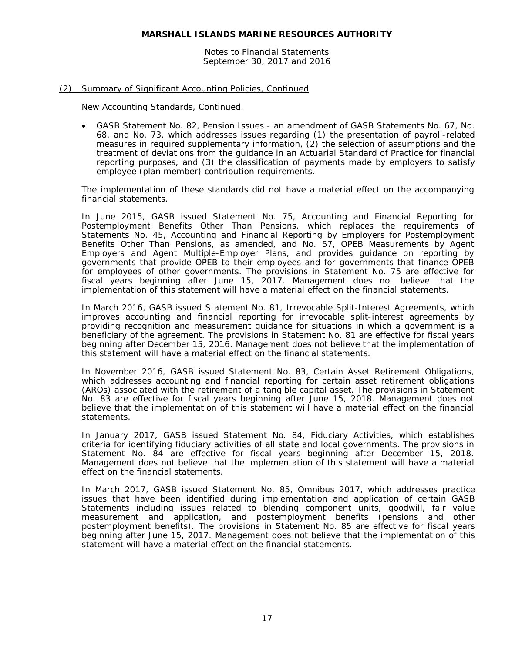Notes to Financial Statements September 30, 2017 and 2016

#### (2) Summary of Significant Accounting Policies, Continued

#### New Accounting Standards, Continued

• GASB Statement No. 82, *Pension Issues - an amendment of GASB Statements No. 67, No. 68, and No. 73*, which addresses issues regarding (1) the presentation of payroll-related measures in required supplementary information, (2) the selection of assumptions and the treatment of deviations from the guidance in an Actuarial Standard of Practice for financial reporting purposes, and (3) the classification of payments made by employers to satisfy employee (plan member) contribution requirements.

The implementation of these standards did not have a material effect on the accompanying financial statements.

In June 2015, GASB issued Statement No. 75, *Accounting and Financial Reporting for Postemployment Benefits Other Than Pensions*, which replaces the requirements of Statements No. 45, *Accounting and Financial Reporting by Employers for Postemployment Benefits Other Than Pensions*, as amended, and No. 57, *OPEB Measurements by Agent Employers and Agent Multiple-Employer Plans*, and provides guidance on reporting by governments that provide OPEB to their employees and for governments that finance OPEB for employees of other governments. The provisions in Statement No. 75 are effective for fiscal years beginning after June 15, 2017. Management does not believe that the implementation of this statement will have a material effect on the financial statements.

In March 2016, GASB issued Statement No. 81, *Irrevocable Split-Interest Agreements,* which improves accounting and financial reporting for irrevocable split-interest agreements by providing recognition and measurement guidance for situations in which a government is a beneficiary of the agreement. The provisions in Statement No. 81 are effective for fiscal years beginning after December 15, 2016. Management does not believe that the implementation of this statement will have a material effect on the financial statements.

In November 2016, GASB issued Statement No. 83, *Certain Asset Retirement Obligations*, which addresses accounting and financial reporting for certain asset retirement obligations (AROs) associated with the retirement of a tangible capital asset. The provisions in Statement No. 83 are effective for fiscal years beginning after June 15, 2018. Management does not believe that the implementation of this statement will have a material effect on the financial statements.

In January 2017, GASB issued Statement No. 84, *Fiduciary Activities*, which establishes criteria for identifying fiduciary activities of all state and local governments. The provisions in Statement No. 84 are effective for fiscal years beginning after December 15, 2018. Management does not believe that the implementation of this statement will have a material effect on the financial statements.

In March 2017, GASB issued Statement No. 85, *Omnibus 2017*, which addresses practice issues that have been identified during implementation and application of certain GASB Statements including issues related to blending component units, goodwill, fair value measurement and application, and postemployment benefits (pensions and other postemployment benefits). The provisions in Statement No. 85 are effective for fiscal years beginning after June 15, 2017. Management does not believe that the implementation of this statement will have a material effect on the financial statements.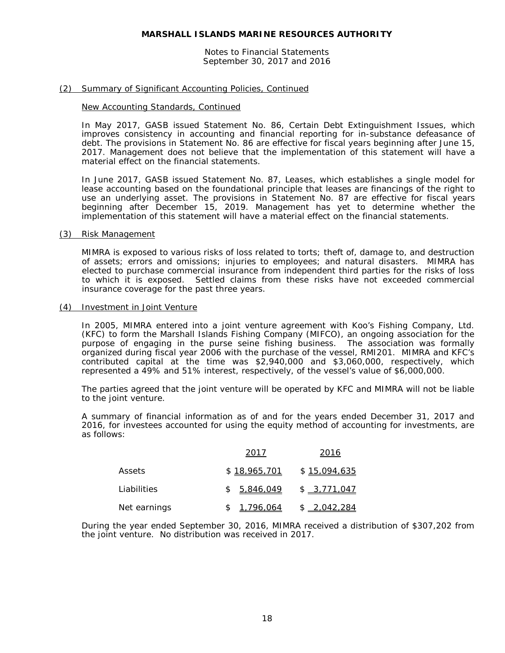Notes to Financial Statements September 30, 2017 and 2016

#### (2) Summary of Significant Accounting Policies, Continued

#### New Accounting Standards, Continued

In May 2017, GASB issued Statement No. 86, *Certain Debt Extinguishment Issues*, which improves consistency in accounting and financial reporting for in-substance defeasance of debt. The provisions in Statement No. 86 are effective for fiscal years beginning after June 15, 2017. Management does not believe that the implementation of this statement will have a material effect on the financial statements.

In June 2017, GASB issued Statement No. 87, *Leases*, which establishes a single model for lease accounting based on the foundational principle that leases are financings of the right to use an underlying asset. The provisions in Statement No. 87 are effective for fiscal years beginning after December 15, 2019. Management has yet to determine whether the implementation of this statement will have a material effect on the financial statements.

#### (3) Risk Management

MIMRA is exposed to various risks of loss related to torts; theft of, damage to, and destruction of assets; errors and omissions; injuries to employees; and natural disasters. MIMRA has elected to purchase commercial insurance from independent third parties for the risks of loss to which it is exposed. Settled claims from these risks have not exceeded commercial insurance coverage for the past three years.

#### (4) Investment in Joint Venture

In 2005, MIMRA entered into a joint venture agreement with Koo's Fishing Company, Ltd. (KFC) to form the Marshall Islands Fishing Company (MIFCO), an ongoing association for the purpose of engaging in the purse seine fishing business. The association was formally organized during fiscal year 2006 with the purchase of the vessel, RMI201. MIMRA and KFC's contributed capital at the time was \$2,940,000 and \$3,060,000, respectively, which represented a 49% and 51% interest, respectively, of the vessel's value of \$6,000,000.

The parties agreed that the joint venture will be operated by KFC and MIMRA will not be liable to the joint venture.

A summary of financial information as of and for the years ended December 31, 2017 and 2016, for investees accounted for using the equity method of accounting for investments, are as follows:

|              | 2017         | 2016         |
|--------------|--------------|--------------|
| Assets       | \$18,965,701 | \$15,094,635 |
| Liabilities  | \$ 5,846,049 | \$3,771,047  |
| Net earnings | 1.796.064    | _2,042.284   |

During the year ended September 30, 2016, MIMRA received a distribution of \$307,202 from the joint venture. No distribution was received in 2017.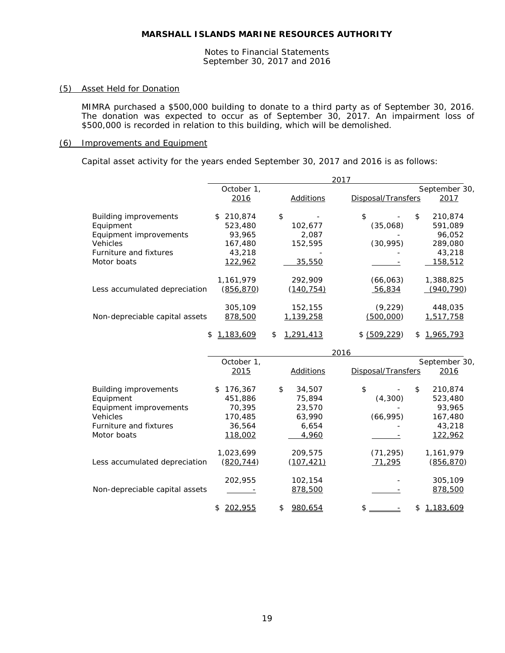Notes to Financial Statements September 30, 2017 and 2016

#### (5) Asset Held for Donation

MIMRA purchased a \$500,000 building to donate to a third party as of September 30, 2016. The donation was expected to occur as of September 30, 2017. An impairment loss of \$500,000 is recorded in relation to this building, which will be demolished.

 $2017$ 

#### (6) Improvements and Equipment

Capital asset activity for the years ended September 30, 2017 and 2016 is as follows:

|                                |                    |                  | 20 I 7             |                       |
|--------------------------------|--------------------|------------------|--------------------|-----------------------|
|                                | October 1,<br>2016 | <b>Additions</b> | Disposal/Transfers | September 30,<br>2017 |
|                                |                    |                  |                    |                       |
| <b>Building improvements</b>   | \$210,874          | \$               | \$                 | \$<br>210,874         |
| Equipment                      | 523,480            | 102,677          | (35,068)           | 591,089               |
| Equipment improvements         | 93,965             | 2,087            |                    | 96,052                |
| Vehicles                       | 167,480            | 152,595          | (30, 995)          | 289,080               |
| Furniture and fixtures         | 43,218             |                  |                    | 43,218                |
| Motor boats                    | 122,962            | 35,550           |                    | 158,512               |
|                                | 1,161,979          | 292,909          | (66, 063)          | 1,388,825             |
| Less accumulated depreciation  | (856, 870)         | (140, 754)       | 56,834             | (940, 790)            |
|                                | 305,109            | 152,155          | (9, 229)           | 448,035               |
| Non-depreciable capital assets | 878,500            | 1,139,258        | (500,000)          | 1,517,758             |
|                                | 1,183,609          | \$<br>1,291,413  | \$ (509, 229)      | 1,965,793<br>\$       |
|                                |                    |                  | 2016               |                       |
|                                | October 1,         |                  |                    | September 30,         |
|                                | 2015               | <b>Additions</b> | Disposal/Transfers | 2016                  |
| <b>Building improvements</b>   | \$176,367          | \$<br>34,507     | \$                 | \$<br>210,874         |
| Equipment                      | 451,886            | 75,894           | (4,300)            | 523,480               |
| Equipment improvements         | 70,395             | 23,570           |                    | 93,965                |
| Vehicles                       | 170,485            | 63,990           | (66, 995)          | 167,480               |
| Furniture and fixtures         | 36,564             | 6,654            |                    | 43,218                |
| Motor boats                    | 118,002            | 4,960            |                    | 122,962               |
|                                | 1,023,699          | 209,575          | (71, 295)          | 1,161,979             |
| Less accumulated depreciation  | (820, 744)         | (107, 421)       | 71,295             | (856, 870)            |
|                                | 202,955            | 102,154          |                    | 305,109               |
| Non-depreciable capital assets |                    | 878,500          |                    | 878,500               |
|                                | 202,955<br>\$      | \$<br>980,654    | \$                 | 1,183,609<br>\$       |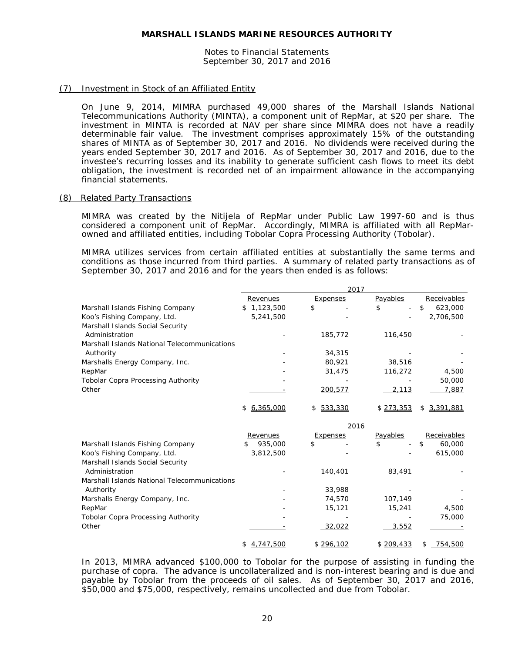Notes to Financial Statements September 30, 2017 and 2016

#### (7) Investment in Stock of an Affiliated Entity

On June 9, 2014, MIMRA purchased 49,000 shares of the Marshall Islands National Telecommunications Authority (MINTA), a component unit of RepMar, at \$20 per share. The investment in MINTA is recorded at NAV per share since MIMRA does not have a readily determinable fair value. The investment comprises approximately 15% of the outstanding shares of MINTA as of September 30, 2017 and 2016. No dividends were received during the years ended September 30, 2017 and 2016. As of September 30, 2017 and 2016, due to the investee's recurring losses and its inability to generate sufficient cash flows to meet its debt obligation, the investment is recorded net of an impairment allowance in the accompanying financial statements.

#### (8) Related Party Transactions

MIMRA was created by the Nitijela of RepMar under Public Law 1997-60 and is thus considered a component unit of RepMar. Accordingly, MIMRA is affiliated with all RepMarowned and affiliated entities, including Tobolar Copra Processing Authority (Tobolar).

MIMRA utilizes services from certain affiliated entities at substantially the same terms and conditions as those incurred from third parties. A summary of related party transactions as of September 30, 2017 and 2016 and for the years then ended is as follows:

|                                              |             | 2017          |                                |               |
|----------------------------------------------|-------------|---------------|--------------------------------|---------------|
|                                              | Revenues    | Expenses      | Payables                       | Receivables   |
| Marshall Islands Fishing Company             | \$1,123,500 | \$            | \$<br>$\overline{\phantom{0}}$ | 623,000<br>\$ |
| Koo's Fishing Company, Ltd.                  | 5,241,500   |               |                                | 2,706,500     |
| Marshall Islands Social Security             |             |               |                                |               |
| Administration                               |             | 185,772       | 116,450                        |               |
| Marshall Islands National Telecommunications |             |               |                                |               |
| Authority                                    |             | 34,315        |                                |               |
| Marshalls Energy Company, Inc.               |             | 80.921        | 38,516                         |               |
| RepMar                                       |             | 31,475        | 116,272                        | 4,500         |
| <b>Tobolar Copra Processing Authority</b>    |             |               |                                | 50,000        |
| Other                                        |             | 200,577       | 2,113                          | 7,887         |
|                                              |             |               |                                |               |
|                                              | 6,365,000   | 533.330<br>S. | \$273,353                      | \$3.391.881   |

|                                              |               | 2016      |                                |                |
|----------------------------------------------|---------------|-----------|--------------------------------|----------------|
|                                              | Revenues      | Expenses  | Payables                       | Receivables    |
| Marshall Islands Fishing Company             | 935,000<br>S. | \$        | \$<br>$\overline{\phantom{0}}$ | 60,000<br>\$   |
| Koo's Fishing Company, Ltd.                  | 3,812,500     |           |                                | 615,000        |
| Marshall Islands Social Security             |               |           |                                |                |
| Administration                               |               | 140.401   | 83,491                         |                |
| Marshall Islands National Telecommunications |               |           |                                |                |
| Authority                                    |               | 33,988    |                                |                |
| Marshalls Energy Company, Inc.               |               | 74,570    | 107.149                        |                |
| RepMar                                       |               | 15,121    | 15,241                         | 4,500          |
| <b>Tobolar Copra Processing Authority</b>    |               |           |                                | 75,000         |
| Other                                        |               | 32,022    | 3,552                          |                |
|                                              | 4.747.500     | \$296.102 | \$209.433                      | 754,500<br>\$. |

In 2013, MIMRA advanced \$100,000 to Tobolar for the purpose of assisting in funding the purchase of copra. The advance is uncollateralized and is non-interest bearing and is due and payable by Tobolar from the proceeds of oil sales. As of September 30, 2017 and 2016, \$50,000 and \$75,000, respectively, remains uncollected and due from Tobolar.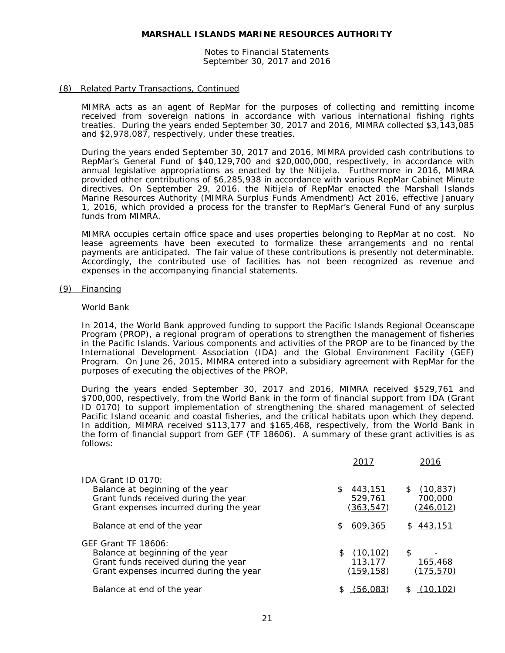Notes to Financial Statements September 30, 2017 and 2016

#### (8) Related Party Transactions, Continued

MIMRA acts as an agent of RepMar for the purposes of collecting and remitting income received from sovereign nations in accordance with various international fishing rights treaties. During the years ended September 30, 2017 and 2016, MIMRA collected \$3,143,085 and \$2,978,087, respectively, under these treaties.

During the years ended September 30, 2017 and 2016, MIMRA provided cash contributions to RepMar's General Fund of \$40,129,700 and \$20,000,000, respectively, in accordance with annual legislative appropriations as enacted by the Nitijela. Furthermore in 2016, MIMRA provided other contributions of \$6,285,938 in accordance with various RepMar Cabinet Minute directives. On September 29, 2016, the Nitijela of RepMar enacted the Marshall Islands Marine Resources Authority (MIMRA Surplus Funds Amendment) Act 2016, effective January 1, 2016, which provided a process for the transfer to RepMar's General Fund of any surplus funds from MIMRA.

MIMRA occupies certain office space and uses properties belonging to RepMar at no cost. No lease agreements have been executed to formalize these arrangements and no rental payments are anticipated. The fair value of these contributions is presently not determinable. Accordingly, the contributed use of facilities has not been recognized as revenue and expenses in the accompanying financial statements.

#### (9) Financing

#### World Bank

In 2014, the World Bank approved funding to support the Pacific Islands Regional Oceanscape Program (PROP), a regional program of operations to strengthen the management of fisheries in the Pacific Islands. Various components and activities of the PROP are to be financed by the International Development Association (IDA) and the Global Environment Facility (GEF) Program. On June 26, 2015, MIMRA entered into a subsidiary agreement with RepMar for the purposes of executing the objectives of the PROP.

During the years ended September 30, 2017 and 2016, MIMRA received \$529,761 and \$700,000, respectively, from the World Bank in the form of financial support from IDA (Grant ID 0170) to support implementation of strengthening the shared management of selected Pacific Island oceanic and coastal fisheries, and the critical habitats upon which they depend. In addition, MIMRA received \$113,177 and \$165,468, respectively, from the World Bank in the form of financial support from GEF (TF 18606). A summary of these grant activities is as follows:

|                                                                                                                                                   | 2017                                     | 2016                                     |
|---------------------------------------------------------------------------------------------------------------------------------------------------|------------------------------------------|------------------------------------------|
| IDA Grant ID 0170:<br>Balance at beginning of the year<br>Grant funds received during the year<br>Grant expenses incurred during the year         | 443,151<br>529,761<br>(363, 547)         | (10, 837)<br>\$<br>700,000<br>(246, 012) |
| Balance at end of the year                                                                                                                        | 609,365                                  | 443,151<br>S.                            |
| <b>GEF Grant TF 18606:</b><br>Balance at beginning of the year<br>Grant funds received during the year<br>Grant expenses incurred during the year | (10, 102)<br>\$<br>113,177<br>(159, 158) | S.<br>165,468<br>(175, 570)              |
| Balance at end of the year                                                                                                                        |                                          |                                          |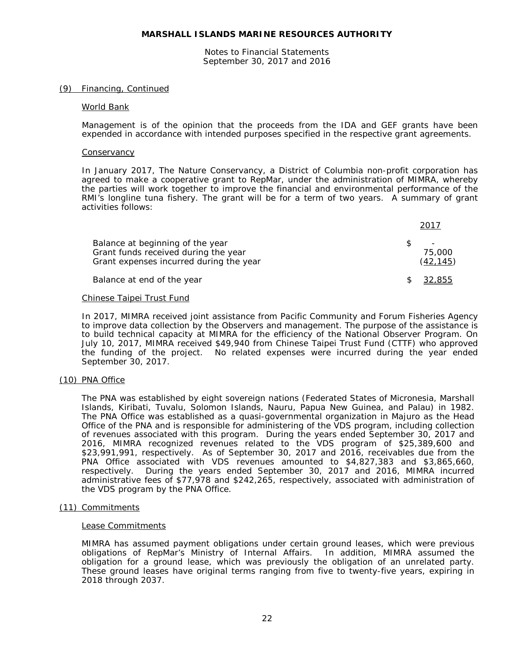Notes to Financial Statements September 30, 2017 and 2016

#### (9) Financing, Continued

#### World Bank

Management is of the opinion that the proceeds from the IDA and GEF grants have been expended in accordance with intended purposes specified in the respective grant agreements.

#### **Conservancy**

In January 2017, The Nature Conservancy, a District of Columbia non-profit corporation has agreed to make a cooperative grant to RepMar, under the administration of MIMRA, whereby the parties will work together to improve the financial and environmental performance of the RMI's longline tuna fishery. The grant will be for a term of two years. A summary of grant activities follows:

| Balance at beginning of the year<br>Grant funds received during the year<br>Grant expenses incurred during the year | 75,000<br>(42, 145) |
|---------------------------------------------------------------------------------------------------------------------|---------------------|
| Balance at end of the year                                                                                          | 32.855              |

#### Chinese Taipei Trust Fund

In 2017, MIMRA received joint assistance from Pacific Community and Forum Fisheries Agency to improve data collection by the Observers and management. The purpose of the assistance is to build technical capacity at MIMRA for the efficiency of the National Observer Program. On July 10, 2017, MIMRA received \$49,940 from Chinese Taipei Trust Fund (CTTF) who approved the funding of the project. No related expenses were incurred during the year ended September 30, 2017.

#### (10) PNA Office

The PNA was established by eight sovereign nations (Federated States of Micronesia, Marshall Islands, Kiribati, Tuvalu, Solomon Islands, Nauru, Papua New Guinea, and Palau) in 1982. The PNA Office was established as a quasi-governmental organization in Majuro as the Head Office of the PNA and is responsible for administering of the VDS program, including collection of revenues associated with this program. During the years ended September 30, 2017 and 2016, MIMRA recognized revenues related to the VDS program of \$25,389,600 and \$23,991,991, respectively. As of September 30, 2017 and 2016, receivables due from the PNA Office associated with VDS revenues amounted to \$4,827,383 and \$3,865,660, respectively. During the years ended September 30, 2017 and 2016, MIMRA incurred administrative fees of \$77,978 and \$242,265, respectively, associated with administration of the VDS program by the PNA Office.

#### (11) Commitments

#### Lease Commitments

MIMRA has assumed payment obligations under certain ground leases, which were previous obligations of RepMar's Ministry of Internal Affairs. In addition, MIMRA assumed the obligation for a ground lease, which was previously the obligation of an unrelated party. These ground leases have original terms ranging from five to twenty-five years, expiring in 2018 through 2037.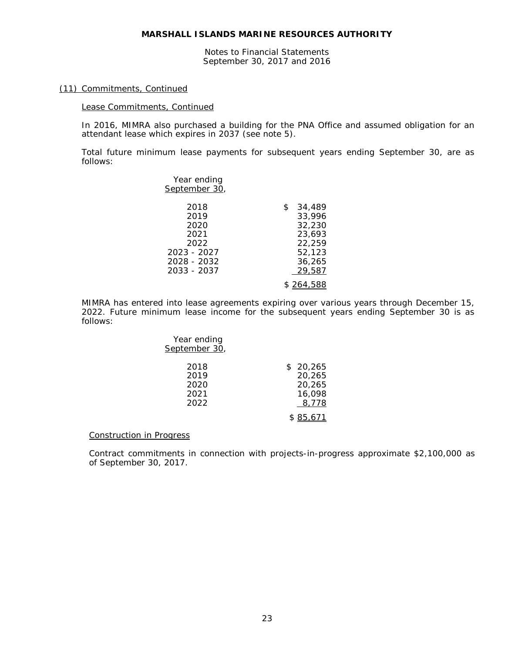Notes to Financial Statements September 30, 2017 and 2016

#### (11) Commitments, Continued

#### Lease Commitments, Continued

In 2016, MIMRA also purchased a building for the PNA Office and assumed obligation for an attendant lease which expires in 2037 (see note 5).

Total future minimum lease payments for subsequent years ending September 30, are as follows:

| Year ending<br>September 30, |              |
|------------------------------|--------------|
|                              |              |
| 2018                         | \$<br>34,489 |
| 2019                         | 33,996       |
| 2020                         | 32,230       |
| 2021                         | 23,693       |
| 2022                         | 22,259       |
| 2023 - 2027                  | 52.123       |
| 2028 - 2032                  | 36,265       |
| 2033 - 2037                  | 29,587       |
|                              | \$264,588    |

MIMRA has entered into lease agreements expiring over various years through December 15, 2022. Future minimum lease income for the subsequent years ending September 30 is as follows:

| Year ending<br>September 30, |                           |
|------------------------------|---------------------------|
| 2018<br>2019<br>2020         | \$20,265<br>20,265        |
| 2021<br>2022                 | 20,265<br>16,098<br>8,778 |
|                              | \$ 85.671                 |

#### Construction in Progress

Contract commitments in connection with projects-in-progress approximate \$2,100,000 as of September 30, 2017.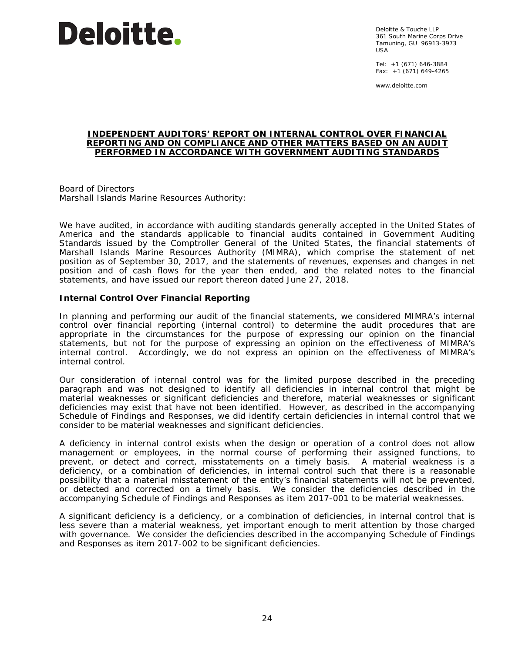

Deloitte & Touche LLP 361 South Marine Corps Drive Tamuning, GU 96913-3973 USA

Tel: +1 (671) 646-3884 Fax: +1 (671) 649-4265

www.deloitte.com

#### **INDEPENDENT AUDITORS' REPORT ON INTERNAL CONTROL OVER FINANCIAL REPORTING AND ON COMPLIANCE AND OTHER MATTERS BASED ON AN AUDIT PERFORMED IN ACCORDANCE WITH** *GOVERNMENT AUDITING STANDARDS*

Board of Directors Marshall Islands Marine Resources Authority:

We have audited, in accordance with auditing standards generally accepted in the United States of America and the standards applicable to financial audits contained in *Government Auditing Standards* issued by the Comptroller General of the United States, the financial statements of Marshall Islands Marine Resources Authority (MIMRA), which comprise the statement of net position as of September 30, 2017, and the statements of revenues, expenses and changes in net position and of cash flows for the year then ended, and the related notes to the financial statements, and have issued our report thereon dated June 27, 2018.

# **Internal Control Over Financial Reporting**

In planning and performing our audit of the financial statements, we considered MIMRA's internal control over financial reporting (internal control) to determine the audit procedures that are appropriate in the circumstances for the purpose of expressing our opinion on the financial statements, but not for the purpose of expressing an opinion on the effectiveness of MIMRA's internal control. Accordingly, we do not express an opinion on the effectiveness of MIMRA's internal control.

Our consideration of internal control was for the limited purpose described in the preceding paragraph and was not designed to identify all deficiencies in internal control that might be material weaknesses or significant deficiencies and therefore, material weaknesses or significant deficiencies may exist that have not been identified. However, as described in the accompanying Schedule of Findings and Responses, we did identify certain deficiencies in internal control that we consider to be material weaknesses and significant deficiencies.

A *deficiency in internal control* exists when the design or operation of a control does not allow management or employees, in the normal course of performing their assigned functions, to prevent, or detect and correct, misstatements on a timely basis. A *material weakness* is a deficiency, or a combination of deficiencies, in internal control such that there is a reasonable possibility that a material misstatement of the entity's financial statements will not be prevented, or detected and corrected on a timely basis. We consider the deficiencies described in the accompanying Schedule of Findings and Responses as item 2017-001 to be material weaknesses.

A *significant deficiency* is a deficiency, or a combination of deficiencies, in internal control that is less severe than a material weakness, yet important enough to merit attention by those charged with governance. We consider the deficiencies described in the accompanying Schedule of Findings and Responses as item 2017-002 to be significant deficiencies.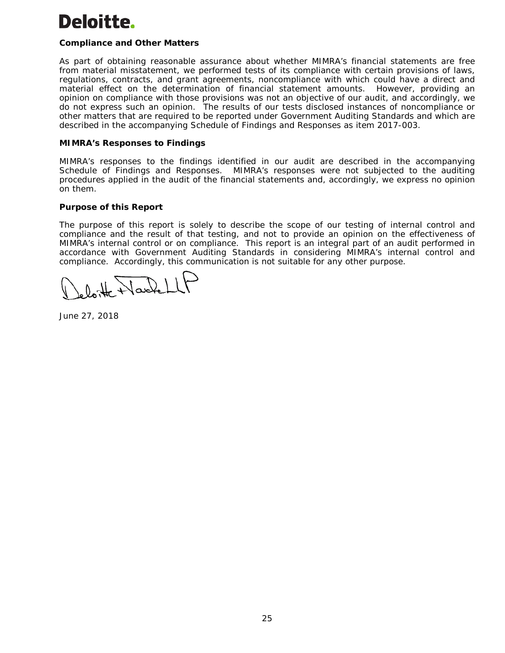# **Deloitte**

# **Compliance and Other Matters**

As part of obtaining reasonable assurance about whether MIMRA's financial statements are free from material misstatement, we performed tests of its compliance with certain provisions of laws, regulations, contracts, and grant agreements, noncompliance with which could have a direct and material effect on the determination of financial statement amounts. However, providing an opinion on compliance with those provisions was not an objective of our audit, and accordingly, we do not express such an opinion. The results of our tests disclosed instances of noncompliance or other matters that are required to be reported under *Government Auditing Standards* and which are described in the accompanying Schedule of Findings and Responses as item 2017-003.

# **MIMRA's Responses to Findings**

MIMRA's responses to the findings identified in our audit are described in the accompanying Schedule of Findings and Responses. MIMRA's responses were not subjected to the auditing procedures applied in the audit of the financial statements and, accordingly, we express no opinion on them.

# **Purpose of this Report**

The purpose of this report is solely to describe the scope of our testing of internal control and compliance and the result of that testing, and not to provide an opinion on the effectiveness of MIMRA's internal control or on compliance. This report is an integral part of an audit performed in accordance with *Government Auditing Standards* in considering MIMRA's internal control and compliance. Accordingly, this communication is not suitable for any other purpose.

laithe Narchel

June 27, 2018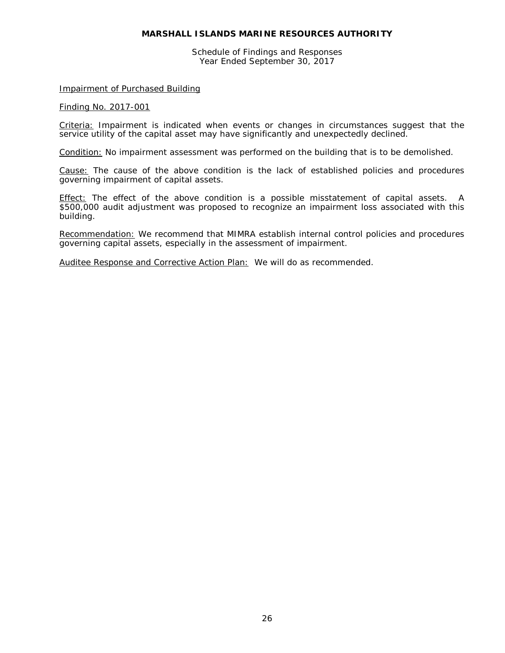Schedule of Findings and Responses Year Ended September 30, 2017

# Impairment of Purchased Building

#### Finding No. 2017-001

Criteria: Impairment is indicated when events or changes in circumstances suggest that the service utility of the capital asset may have significantly and unexpectedly declined.

Condition: No impairment assessment was performed on the building that is to be demolished.

Cause: The cause of the above condition is the lack of established policies and procedures governing impairment of capital assets.

Effect: The effect of the above condition is a possible misstatement of capital assets. A \$500,000 audit adjustment was proposed to recognize an impairment loss associated with this building.

Recommendation: We recommend that MIMRA establish internal control policies and procedures governing capital assets, especially in the assessment of impairment.

Auditee Response and Corrective Action Plan: We will do as recommended.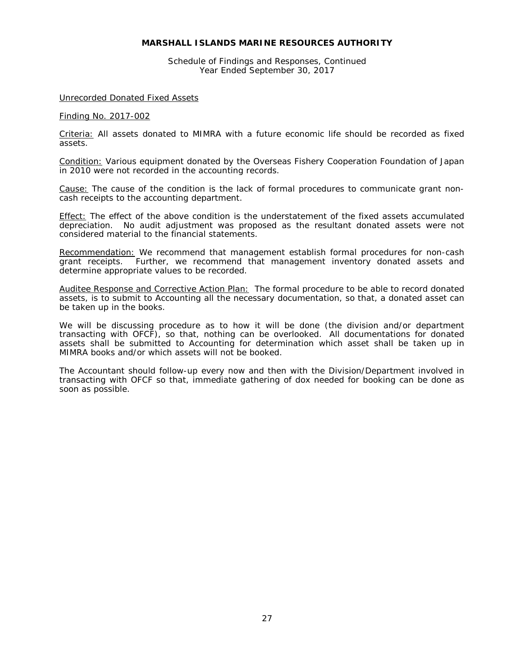Schedule of Findings and Responses, Continued Year Ended September 30, 2017

#### Unrecorded Donated Fixed Assets

#### Finding No. 2017-002

Criteria: All assets donated to MIMRA with a future economic life should be recorded as fixed assets.

Condition: Various equipment donated by the Overseas Fishery Cooperation Foundation of Japan in 2010 were not recorded in the accounting records.

Cause: The cause of the condition is the lack of formal procedures to communicate grant noncash receipts to the accounting department.

Effect: The effect of the above condition is the understatement of the fixed assets accumulated depreciation. No audit adjustment was proposed as the resultant donated assets were not considered material to the financial statements.

Recommendation: We recommend that management establish formal procedures for non-cash<br>grant receipts. Further, we recommend that management inventory donated assets and Further, we recommend that management inventory donated assets and determine appropriate values to be recorded.

Auditee Response and Corrective Action Plan: The formal procedure to be able to record donated assets, is to submit to Accounting all the necessary documentation, so that, a donated asset can be taken up in the books.

We will be discussing procedure as to how it will be done (the division and/or department transacting with OFCF), so that, nothing can be overlooked. All documentations for donated assets shall be submitted to Accounting for determination which asset shall be taken up in MIMRA books and/or which assets will not be booked.

The Accountant should follow-up every now and then with the Division/Department involved in transacting with OFCF so that, immediate gathering of dox needed for booking can be done as soon as possible.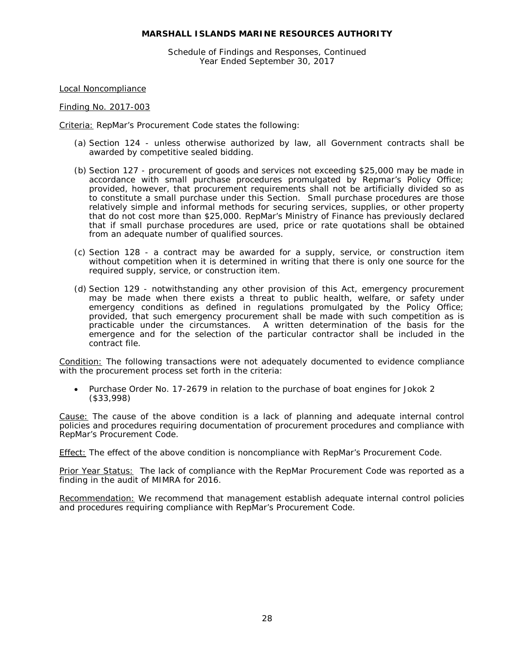Schedule of Findings and Responses, Continued Year Ended September 30, 2017

Local Noncompliance

Finding No. 2017-003

Criteria: RepMar's Procurement Code states the following:

- (a) Section 124 unless otherwise authorized by law, all Government contracts shall be awarded by competitive sealed bidding.
- (b) Section 127 procurement of goods and services not exceeding \$25,000 may be made in accordance with small purchase procedures promulgated by Repmar's Policy Office; provided, however, that procurement requirements shall not be artificially divided so as to constitute a small purchase under this Section. Small purchase procedures are those relatively simple and informal methods for securing services, supplies, or other property that do not cost more than \$25,000. RepMar's Ministry of Finance has previously declared that if small purchase procedures are used, price or rate quotations shall be obtained from an adequate number of qualified sources.
- (c) Section 128 a contract may be awarded for a supply, service, or construction item without competition when it is determined in writing that there is only one source for the required supply, service, or construction item.
- (d) Section 129 notwithstanding any other provision of this Act, emergency procurement may be made when there exists a threat to public health, welfare, or safety under emergency conditions as defined in regulations promulgated by the Policy Office; provided, that such emergency procurement shall be made with such competition as is practicable under the circumstances. A written determination of the basis for the emergence and for the selection of the particular contractor shall be included in the contract file.

Condition: The following transactions were not adequately documented to evidence compliance with the procurement process set forth in the criteria:

• Purchase Order No. 17-2679 in relation to the purchase of boat engines for Jokok 2 (\$33,998)

Cause: The cause of the above condition is a lack of planning and adequate internal control policies and procedures requiring documentation of procurement procedures and compliance with RepMar's Procurement Code.

Effect: The effect of the above condition is noncompliance with RepMar's Procurement Code.

Prior Year Status: The lack of compliance with the RepMar Procurement Code was reported as a finding in the audit of MIMRA for 2016.

Recommendation: We recommend that management establish adequate internal control policies and procedures requiring compliance with RepMar's Procurement Code.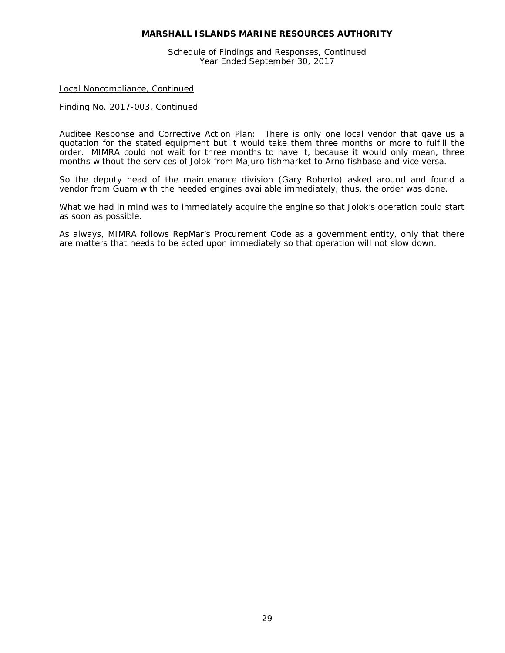Schedule of Findings and Responses, Continued Year Ended September 30, 2017

#### Local Noncompliance, Continued

#### Finding No. 2017-003, Continued

Auditee Response and Corrective Action Plan: There is only one local vendor that gave us a quotation for the stated equipment but it would take them three months or more to fulfill the order. MIMRA could not wait for three months to have it, because it would only mean, three months without the services of Jolok from Majuro fishmarket to Arno fishbase and vice versa.

So the deputy head of the maintenance division (Gary Roberto) asked around and found a vendor from Guam with the needed engines available immediately, thus, the order was done.

What we had in mind was to immediately acquire the engine so that Jolok's operation could start as soon as possible.

As always, MIMRA follows RepMar's Procurement Code as a government entity, only that there are matters that needs to be acted upon immediately so that operation will not slow down.